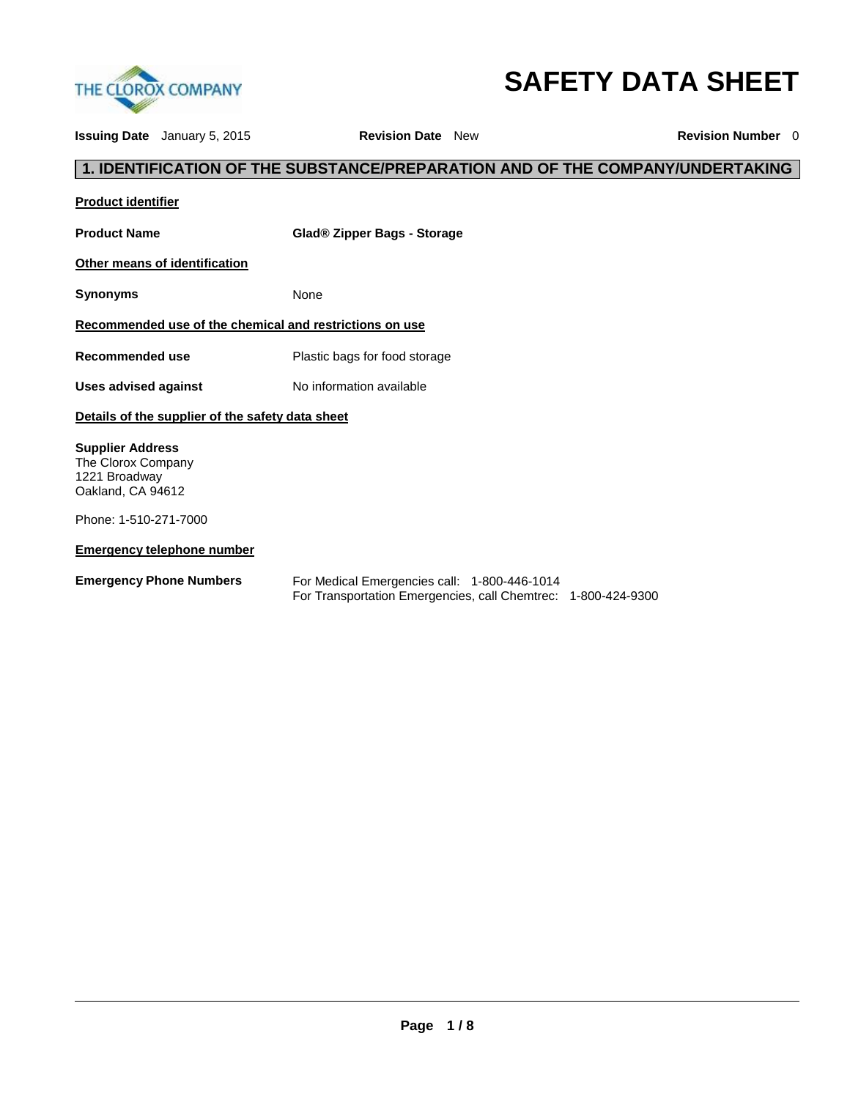

# **SAFETY DATA SHEET**

**Issuing Date** January 5, 2015 **Revision Date** New **Revision Number** 0

# **1. IDENTIFICATION OF THE SUBSTANCE/PREPARATION AND OF THE COMPANY/UNDERTAKING**

| <b>Product identifier</b>                                                           |                                                                                                               |  |  |  |
|-------------------------------------------------------------------------------------|---------------------------------------------------------------------------------------------------------------|--|--|--|
| <b>Product Name</b>                                                                 | Glad® Zipper Bags - Storage                                                                                   |  |  |  |
| Other means of identification                                                       |                                                                                                               |  |  |  |
| <b>Synonyms</b>                                                                     | None                                                                                                          |  |  |  |
| Recommended use of the chemical and restrictions on use                             |                                                                                                               |  |  |  |
| <b>Recommended use</b>                                                              | Plastic bags for food storage                                                                                 |  |  |  |
| <b>Uses advised against</b>                                                         | No information available                                                                                      |  |  |  |
| Details of the supplier of the safety data sheet                                    |                                                                                                               |  |  |  |
| <b>Supplier Address</b><br>The Clorox Company<br>1221 Broadway<br>Oakland, CA 94612 |                                                                                                               |  |  |  |
| Phone: 1-510-271-7000                                                               |                                                                                                               |  |  |  |
| <b>Emergency telephone number</b>                                                   |                                                                                                               |  |  |  |
| <b>Emergency Phone Numbers</b>                                                      | For Medical Emergencies call: 1-800-446-1014<br>For Transportation Emergencies, call Chemtrec: 1-800-424-9300 |  |  |  |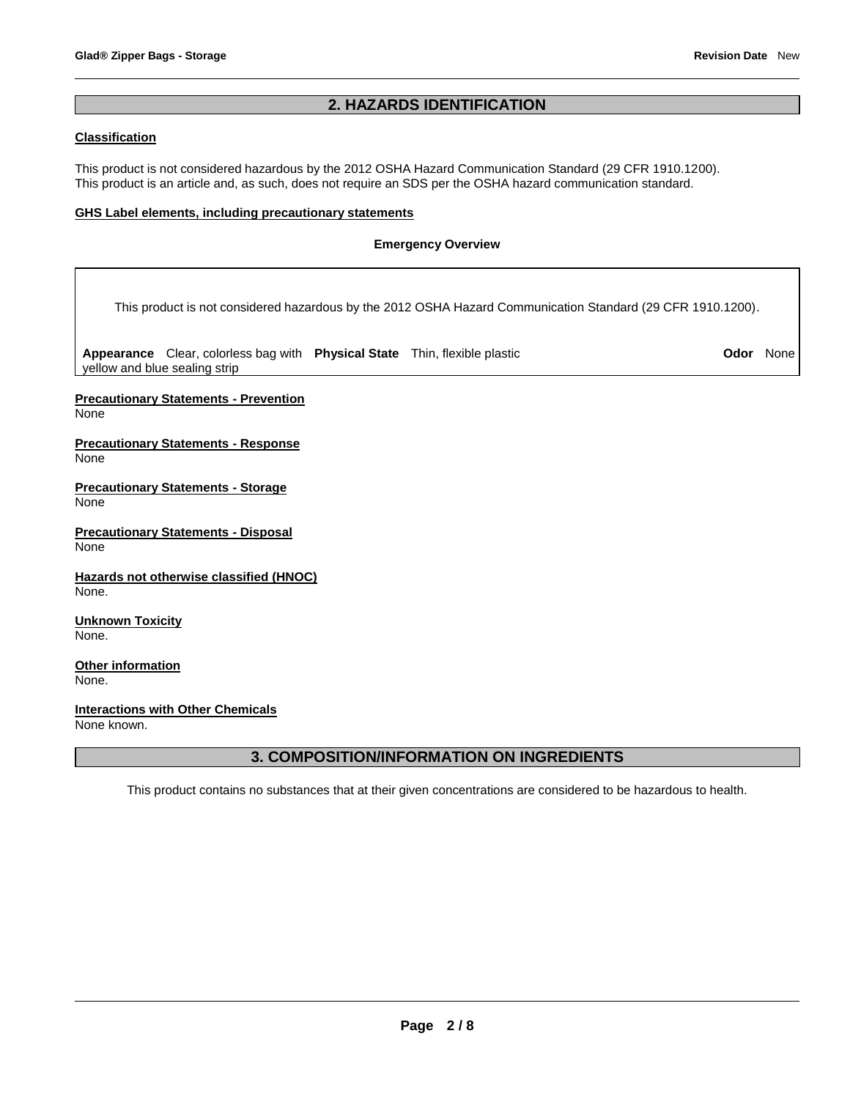# **2. HAZARDS IDENTIFICATION**

# **Classification**

This product is not considered hazardous by the 2012 OSHA Hazard Communication Standard (29 CFR 1910.1200). This product is an article and, as such, does not require an SDS per the OSHA hazard communication standard.

# **GHS Label elements, including precautionary statements**

## **Emergency Overview**

This product is not considered hazardous by the 2012 OSHA Hazard Communication Standard (29 CFR 1910.1200).

**Appearance** Clear, colorless bag with **Physical State** Thin, flexible plastic **Odor** None yellow and blue sealing strip

**Precautionary Statements - Prevention** None

**Precautionary Statements - Response** None

**Precautionary Statements - Storage** None

**Precautionary Statements - Disposal** None

**Hazards not otherwise classified (HNOC)** None.

**Unknown Toxicity** None.

**Other information** None.

**Interactions with Other Chemicals** None known.

# **3. COMPOSITION/INFORMATION ON INGREDIENTS**

This product contains no substances that at their given concentrations are considered to be hazardous to health.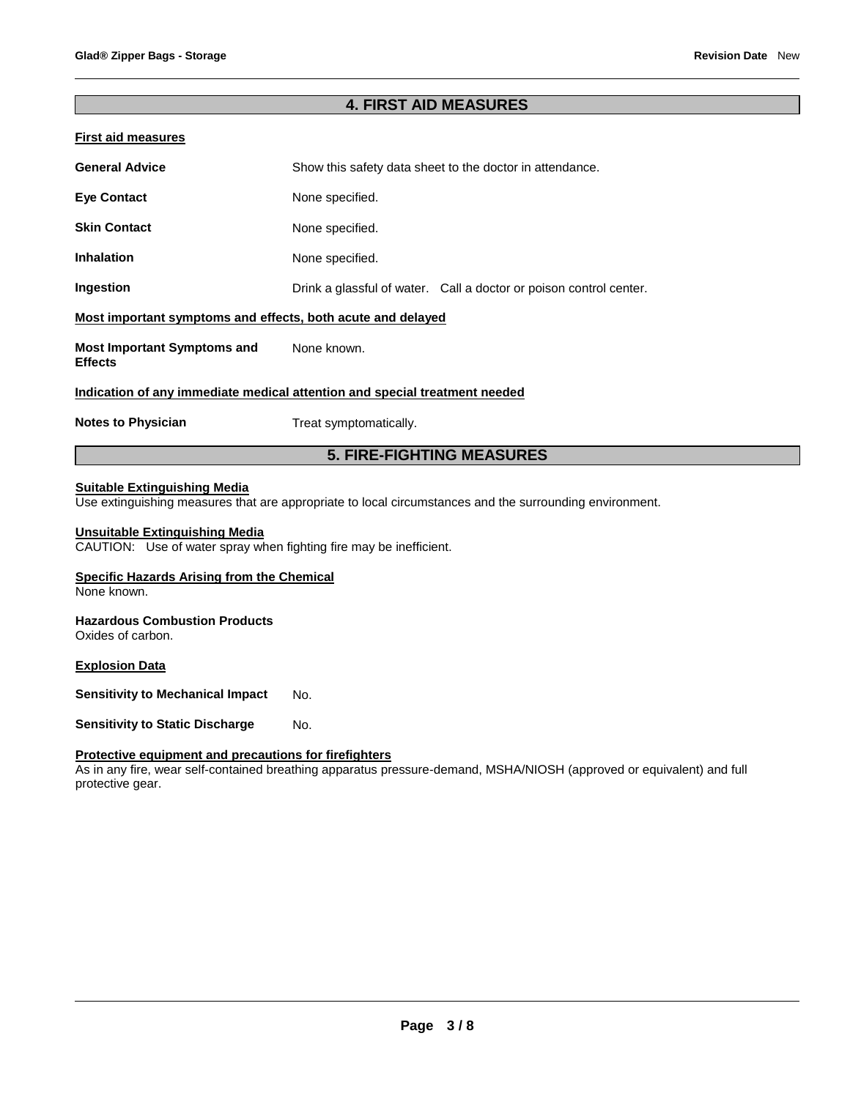# **4. FIRST AID MEASURES**

| <b>First aid measures</b>                                                  |                                                                    |  |  |  |  |
|----------------------------------------------------------------------------|--------------------------------------------------------------------|--|--|--|--|
| <b>General Advice</b>                                                      | Show this safety data sheet to the doctor in attendance.           |  |  |  |  |
| <b>Eye Contact</b>                                                         | None specified.                                                    |  |  |  |  |
| <b>Skin Contact</b>                                                        | None specified.                                                    |  |  |  |  |
| Inhalation                                                                 | None specified.                                                    |  |  |  |  |
| Ingestion                                                                  | Drink a glassful of water. Call a doctor or poison control center. |  |  |  |  |
| Most important symptoms and effects, both acute and delayed                |                                                                    |  |  |  |  |
| <b>Most Important Symptoms and</b><br><b>Effects</b>                       | None known.                                                        |  |  |  |  |
| Indication of any immediate medical attention and special treatment needed |                                                                    |  |  |  |  |
| <b>Notes to Physician</b>                                                  | Treat symptomatically.                                             |  |  |  |  |
|                                                                            | <b>5. FIRE-FIGHTING MEASURES</b>                                   |  |  |  |  |

# **Suitable Extinguishing Media**

Use extinguishing measures that are appropriate to local circumstances and the surrounding environment.

## **Unsuitable Extinguishing Media**

CAUTION: Use of water spray when fighting fire may be inefficient.

## **Specific Hazards Arising from the Chemical**

None known.

# **Hazardous Combustion Products**

Oxides of carbon.

## **Explosion Data**

**Sensitivity to Mechanical Impact** No.

**Sensitivity to Static Discharge Mo.** 

# **Protective equipment and precautions for firefighters**

As in any fire, wear self-contained breathing apparatus pressure-demand, MSHA/NIOSH (approved or equivalent) and full protective gear.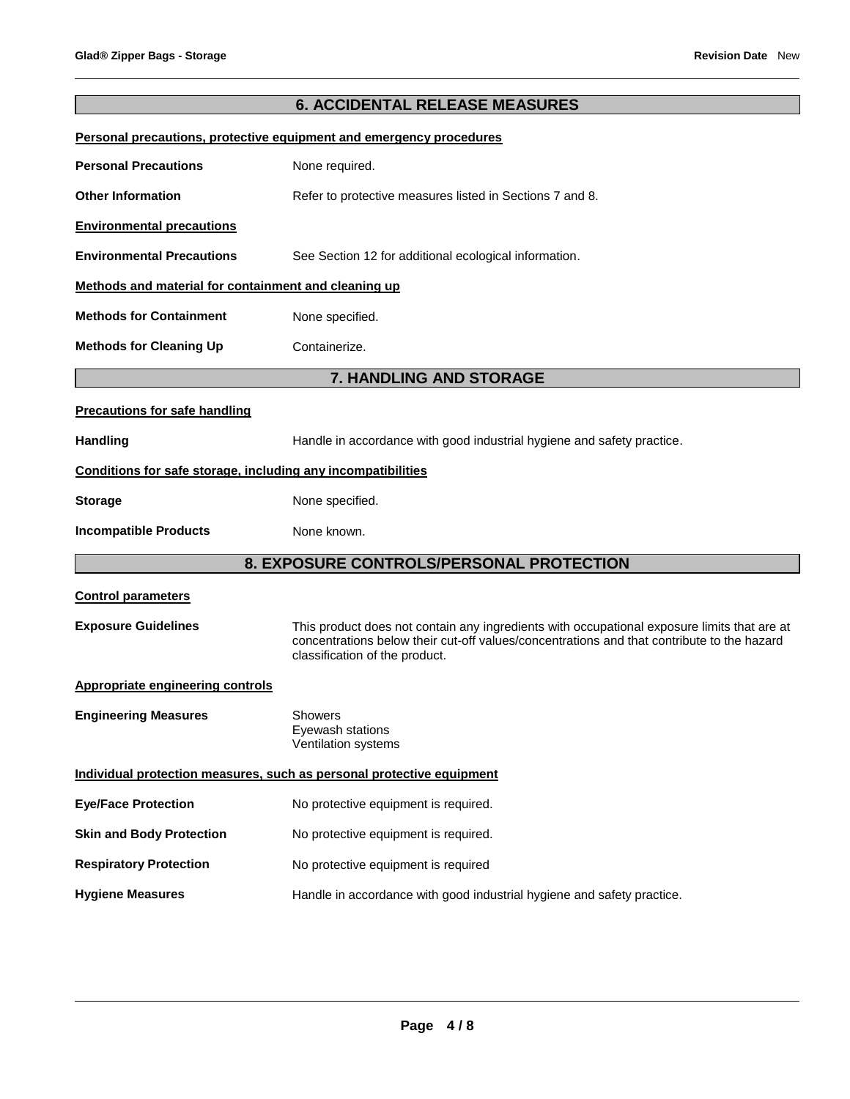# **6. ACCIDENTAL RELEASE MEASURES Personal precautions, protective equipment and emergency procedures Personal Precautions None required. Other Information <b>Refer** to protective measures listed in Sections 7 and 8. **Environmental precautions Environmental Precautions** See Section 12 for additional ecological information. **Methods and material for containment and cleaning up Methods for Containment None specified. Methods for Cleaning Up <b>Containerize. 7. HANDLING AND STORAGE Precautions for safe handling** Handling **Handle** in accordance with good industrial hygiene and safety practice. **Conditions for safe storage, including any incompatibilities Storage Storage Reserve Storage Storage Storage Storage Storage Storage Storage Storage Storage Storage Storage Storage Storage Storage Storage Storage Storage Storage Storage Storage Storage Storage Storage Storage Stora Incompatible Products** None known. **8. EXPOSURE CONTROLS/PERSONAL PROTECTION Control parameters Exposure Guidelines** This product does not contain any ingredients with occupational exposure limits that are at concentrations below their cut-off values/concentrations and that contribute to the hazard classification of the product. **Appropriate engineering controls Engineering Measures** Showers

Eyewash stations Ventilation systems **Individual protection measures, such as personal protective equipment Eye/Face Protection** No protective equipment is required. **Skin and Body Protection** No protective equipment is required. **Respiratory Protection No protective equipment is required Hygiene Measures** Handle in accordance with good industrial hygiene and safety practice.

#### **Page 4 / 8**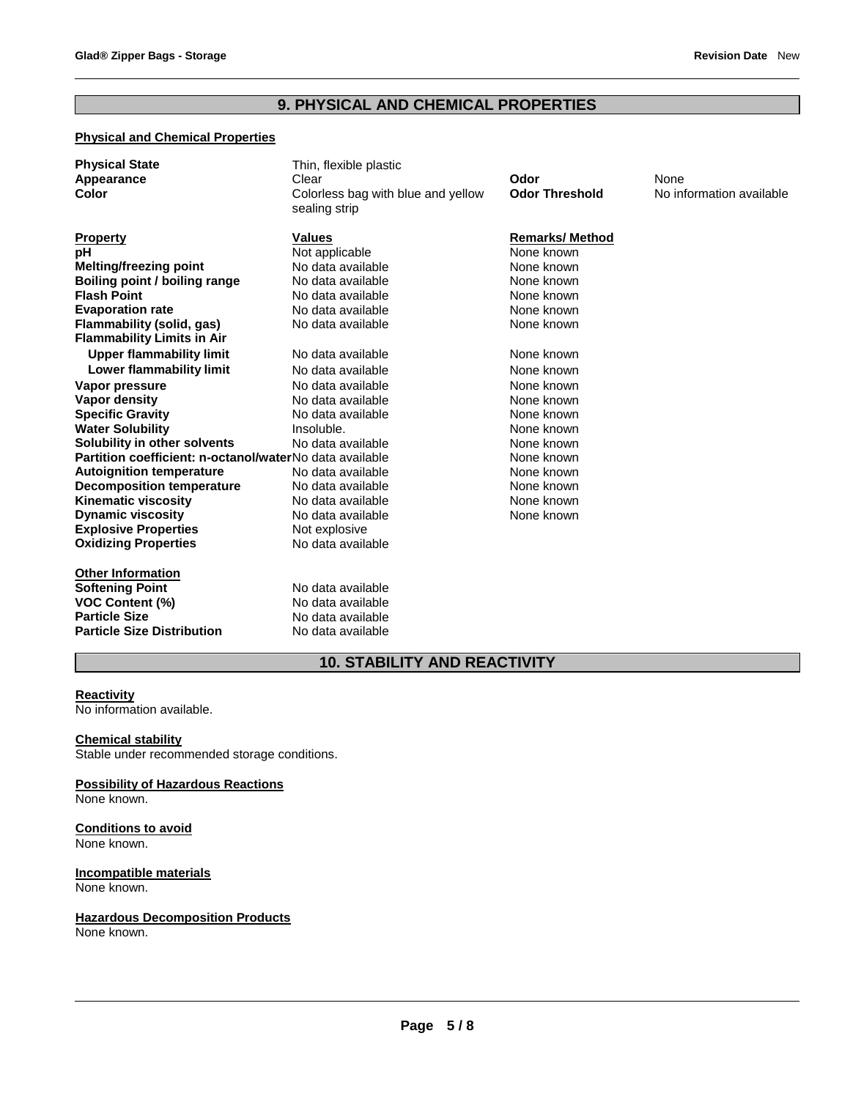# **9. PHYSICAL AND CHEMICAL PROPERTIES**

# **Physical and Chemical Properties**

| <b>Physical State</b><br><b>Appearance</b><br>Color            | Thin, flexible plastic<br>Clear<br>Colorless bag with blue and yellow<br>sealing strip | Odor<br><b>Odor Threshold</b> | None<br>No information available |
|----------------------------------------------------------------|----------------------------------------------------------------------------------------|-------------------------------|----------------------------------|
| <b>Property</b>                                                | <b>Values</b>                                                                          | <b>Remarks/Method</b>         |                                  |
| рH                                                             | Not applicable                                                                         | None known                    |                                  |
| <b>Melting/freezing point</b>                                  | No data available                                                                      | None known                    |                                  |
| Boiling point / boiling range                                  | No data available                                                                      | None known                    |                                  |
| <b>Flash Point</b>                                             | No data available                                                                      | None known                    |                                  |
| <b>Evaporation rate</b>                                        | No data available                                                                      | None known                    |                                  |
| Flammability (solid, gas)<br><b>Flammability Limits in Air</b> | No data available                                                                      | None known                    |                                  |
| <b>Upper flammability limit</b>                                | No data available                                                                      | None known                    |                                  |
| Lower flammability limit                                       | No data available                                                                      | None known                    |                                  |
| Vapor pressure                                                 | No data available                                                                      | None known                    |                                  |
| Vapor density                                                  | No data available                                                                      | None known                    |                                  |
| <b>Specific Gravity</b>                                        | No data available                                                                      | None known                    |                                  |
| <b>Water Solubility</b>                                        | Insoluble.                                                                             | None known                    |                                  |
| Solubility in other solvents                                   | No data available                                                                      | None known                    |                                  |
| Partition coefficient: n-octanol/waterNo data available        |                                                                                        | None known                    |                                  |
| <b>Autoignition temperature</b>                                | No data available                                                                      | None known                    |                                  |
| <b>Decomposition temperature</b>                               | No data available                                                                      | None known                    |                                  |
| <b>Kinematic viscosity</b>                                     | No data available                                                                      | None known                    |                                  |
| <b>Dynamic viscosity</b>                                       | No data available                                                                      | None known                    |                                  |
| <b>Explosive Properties</b>                                    | Not explosive                                                                          |                               |                                  |
| <b>Oxidizing Properties</b>                                    | No data available                                                                      |                               |                                  |
| <b>Other Information</b>                                       |                                                                                        |                               |                                  |
| <b>Softening Point</b>                                         | No data available                                                                      |                               |                                  |
| <b>VOC Content (%)</b>                                         | No data available                                                                      |                               |                                  |
| <b>Particle Size</b>                                           | No data available                                                                      |                               |                                  |
| <b>Particle Size Distribution</b>                              | No data available                                                                      |                               |                                  |

# **10. STABILITY AND REACTIVITY**

# **Reactivity**

No information available.

## **Chemical stability**

Stable under recommended storage conditions.

# **Possibility of Hazardous Reactions**

None known.

# **Conditions to avoid** None known.

#### **Incompatible materials** None known.

# **Hazardous Decomposition Products**

None known.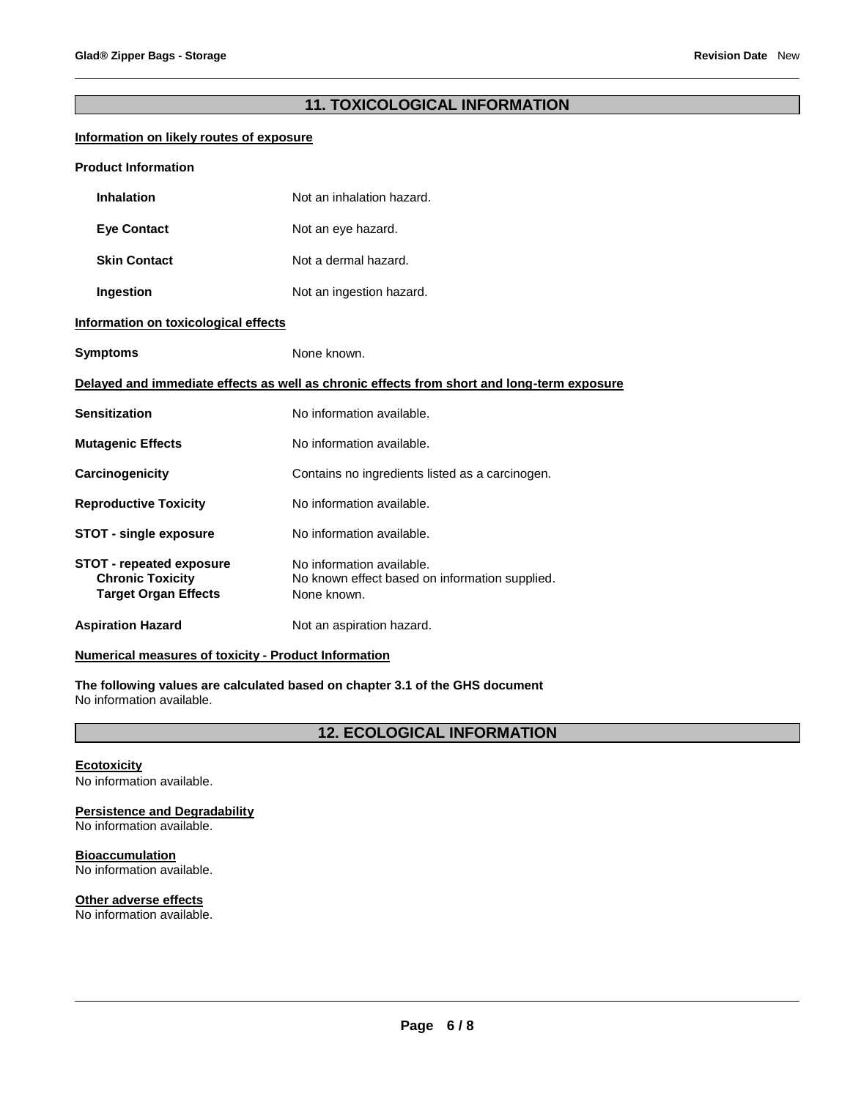# **11. TOXICOLOGICAL INFORMATION**

# **Information on likely routes of exposure**

| <b>Product Information</b>                                                                 |                                                                                            |  |  |
|--------------------------------------------------------------------------------------------|--------------------------------------------------------------------------------------------|--|--|
| <b>Inhalation</b>                                                                          | Not an inhalation hazard.                                                                  |  |  |
| <b>Eye Contact</b>                                                                         | Not an eye hazard.                                                                         |  |  |
| <b>Skin Contact</b>                                                                        | Not a dermal hazard.                                                                       |  |  |
| Ingestion                                                                                  | Not an ingestion hazard.                                                                   |  |  |
| Information on toxicological effects                                                       |                                                                                            |  |  |
| Symptoms                                                                                   | None known.                                                                                |  |  |
| Delayed and immediate effects as well as chronic effects from short and long-term exposure |                                                                                            |  |  |
| Sensitization                                                                              | No information available.                                                                  |  |  |
| <b>Mutagenic Effects</b>                                                                   | No information available.                                                                  |  |  |
| Carcinogenicity                                                                            | Contains no ingredients listed as a carcinogen.                                            |  |  |
| <b>Reproductive Toxicity</b>                                                               | No information available.                                                                  |  |  |
| <b>STOT - single exposure</b>                                                              | No information available.                                                                  |  |  |
| <b>STOT - repeated exposure</b><br><b>Chronic Toxicity</b><br><b>Target Organ Effects</b>  | No information available.<br>No known effect based on information supplied.<br>None known. |  |  |
| <b>Aspiration Hazard</b>                                                                   | Not an aspiration hazard.                                                                  |  |  |

# **Numerical measures of toxicity - Product Information**

**The following values are calculated based on chapter 3.1 of the GHS document** No information available.

**12. ECOLOGICAL INFORMATION** 

#### **Ecotoxicity** No information available.

# **Persistence and Degradability**

No information available.

# **Bioaccumulation**

No information available.

# **Other adverse effects**

No information available.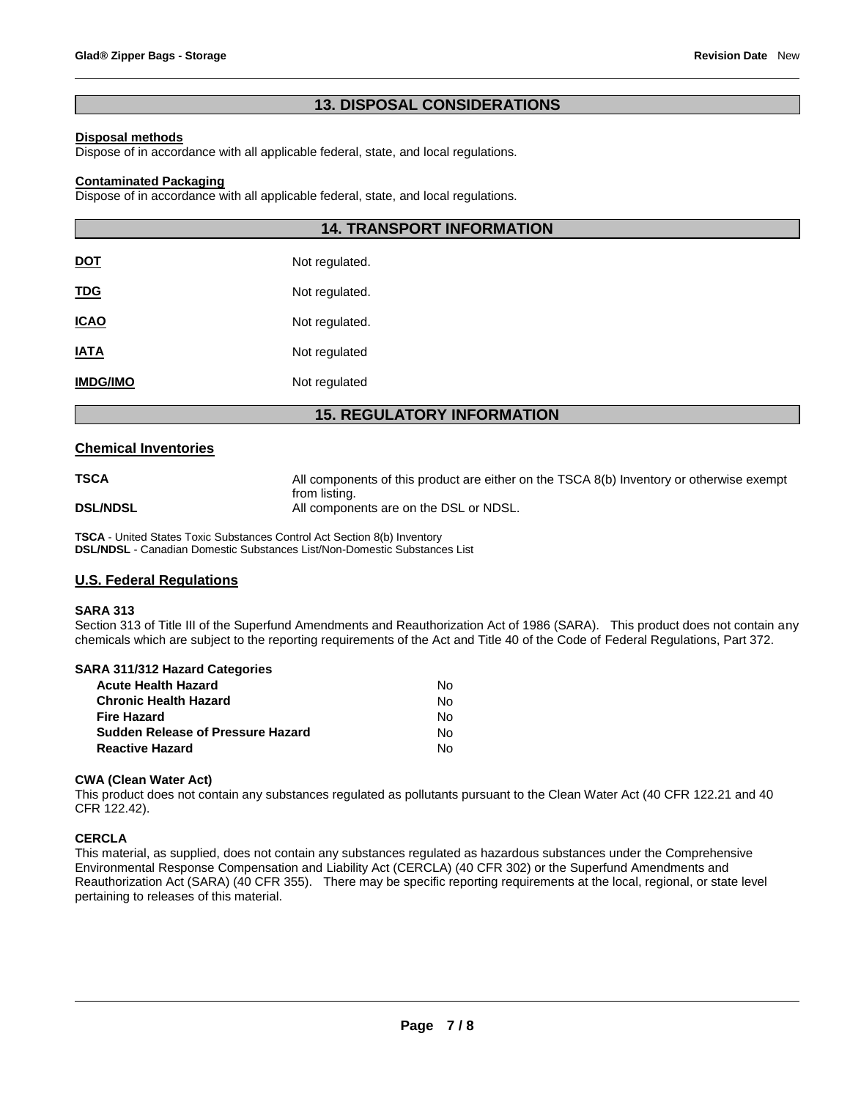# **13. DISPOSAL CONSIDERATIONS**

## **Disposal methods**

Dispose of in accordance with all applicable federal, state, and local regulations.

#### **Contaminated Packaging**

Dispose of in accordance with all applicable federal, state, and local regulations.

|                 | <b>14. TRANSPORT INFORMATION</b> |
|-----------------|----------------------------------|
| <u>DOT</u>      | Not regulated.                   |
| <u>TDG</u>      | Not regulated.                   |
| <u>ICAO</u>     | Not regulated.                   |
| <b>IATA</b>     | Not regulated                    |
| <b>IMDG/IMO</b> | Not regulated                    |

# **15. REGULATORY INFORMATION**

## **Chemical Inventories**

**TSCA All components of this product are either on the TSCA 8(b) Inventory or otherwise exempt** from listing. **DSL/NDSL All components are on the DSL or NDSL.** 

**TSCA** - United States Toxic Substances Control Act Section 8(b) Inventory **DSL/NDSL** - Canadian Domestic Substances List/Non-Domestic Substances List

# **U.S. Federal Regulations**

#### **SARA 313**

Section 313 of Title III of the Superfund Amendments and Reauthorization Act of 1986 (SARA). This product does not contain any chemicals which are subject to the reporting requirements of the Act and Title 40 of the Code of Federal Regulations, Part 372.

#### **SARA 311/312 Hazard Categories**

| <b>Acute Health Hazard</b>               | N٥ |
|------------------------------------------|----|
| <b>Chronic Health Hazard</b>             | N٥ |
| <b>Fire Hazard</b>                       | N٥ |
| <b>Sudden Release of Pressure Hazard</b> | N٥ |
| <b>Reactive Hazard</b>                   | N٥ |

## **CWA (Clean Water Act)**

This product does not contain any substances regulated as pollutants pursuant to the Clean Water Act (40 CFR 122.21 and 40 CFR 122.42).

#### **CERCLA**

This material, as supplied, does not contain any substances regulated as hazardous substances under the Comprehensive Environmental Response Compensation and Liability Act (CERCLA) (40 CFR 302) or the Superfund Amendments and Reauthorization Act (SARA) (40 CFR 355). There may be specific reporting requirements at the local, regional, or state level pertaining to releases of this material.